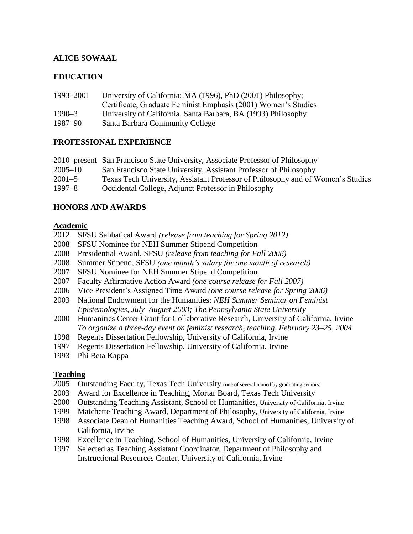# **ALICE SOWAAL**

## **EDUCATION**

| 1993-2001  | University of California; MA (1996), PhD (2001) Philosophy;    |
|------------|----------------------------------------------------------------|
|            | Certificate, Graduate Feminist Emphasis (2001) Women's Studies |
| $1990 - 3$ | University of California, Santa Barbara, BA (1993) Philosophy  |
| 1987–90    | Santa Barbara Community College                                |

## **PROFESSIONAL EXPERIENCE**

| 2010–present San Francisco State University, Associate Professor of Philosophy  |
|---------------------------------------------------------------------------------|
| San Francisco State University, Assistant Professor of Philosophy               |
| Texas Tech University, Assistant Professor of Philosophy and of Women's Studies |
| Occidental College, Adjunct Professor in Philosophy                             |
|                                                                                 |

## **HONORS AND AWARDS**

## **Academic**

- 2012 SFSU Sabbatical Award *(release from teaching for Spring 2012)*
- 2008 SFSU Nominee for NEH Summer Stipend Competition
- 2008 Presidential Award, SFSU *(release from teaching for Fall 2008)*
- 2008 Summer Stipend, SFSU *(one month's salary for one month of research)*
- 2007 SFSU Nominee for NEH Summer Stipend Competition
- 2007 Faculty Affirmative Action Award *(one course release for Fall 2007)*
- 2006 Vice President's Assigned Time Award *(one course release for Spring 2006)*
- 2003 National Endowment for the Humanities: *NEH Summer Seminar on Feminist Epistemologies, July–August 2003; The Pennsylvania State University*
- 2000 Humanities Center Grant for Collaborative Research, University of California, Irvine *To organize a three-day event on feminist research, teaching, February 23–25, 2004*
- 1998 Regents Dissertation Fellowship, University of California, Irvine
- 1997 Regents Dissertation Fellowship, University of California, Irvine
- 1993 Phi Beta Kappa

# **Teaching**

- 2005 Outstanding Faculty, Texas Tech University (one of several named by graduating seniors)
- 2003 Award for Excellence in Teaching, Mortar Board, Texas Tech University
- 2000 Outstanding Teaching Assistant, School of Humanities, University of California, Irvine
- 1999 Matchette Teaching Award, Department of Philosophy, University of California, Irvine
- 1998 Associate Dean of Humanities Teaching Award, School of Humanities, University of California, Irvine
- 1998 Excellence in Teaching, School of Humanities, University of California, Irvine
- 1997 Selected as Teaching Assistant Coordinator, Department of Philosophy and Instructional Resources Center, University of California, Irvine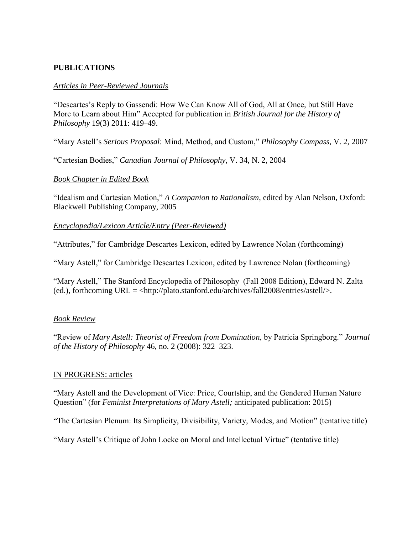## **PUBLICATIONS**

## *Articles in Peer-Reviewed Journals*

"Descartes's Reply to Gassendi: How We Can Know All of God, All at Once, but Still Have More to Learn about Him" Accepted for publication in *British Journal for the History of Philosophy* 19(3) 2011: 419**–**49.

"Mary Astell's *Serious Proposal*: Mind, Method, and Custom," *Philosophy Compass*, V. 2, 2007

"Cartesian Bodies," *Canadian Journal of Philosophy*, V. 34, N. 2, 2004

## *Book Chapter in Edited Book*

"Idealism and Cartesian Motion," *A Companion to Rationalism*, edited by Alan Nelson, Oxford: Blackwell Publishing Company, 2005

*Encyclopedia/Lexicon Article/Entry (Peer-Reviewed)*

"Attributes," for Cambridge Descartes Lexicon, edited by Lawrence Nolan (forthcoming)

"Mary Astell," for Cambridge Descartes Lexicon, edited by Lawrence Nolan (forthcoming)

"Mary Astell," The Stanford Encyclopedia of Philosophy (Fall 2008 Edition), Edward N. Zalta (ed.), forthcoming URL = <http://plato.stanford.edu/archives/fall2008/entries/astell/>.

## *Book Review*

"Review of *Mary Astell: Theorist of Freedom from Domination*, by Patricia Springborg." *Journal of the History of Philosophy* 46, no. 2 (2008): 322–323.

## IN PROGRESS: articles

"Mary Astell and the Development of Vice: Price, Courtship, and the Gendered Human Nature Question" (for *Feminist Interpretations of Mary Astell;* anticipated publication: 2015)

"The Cartesian Plenum: Its Simplicity, Divisibility, Variety, Modes, and Motion" (tentative title)

"Mary Astell's Critique of John Locke on Moral and Intellectual Virtue" (tentative title)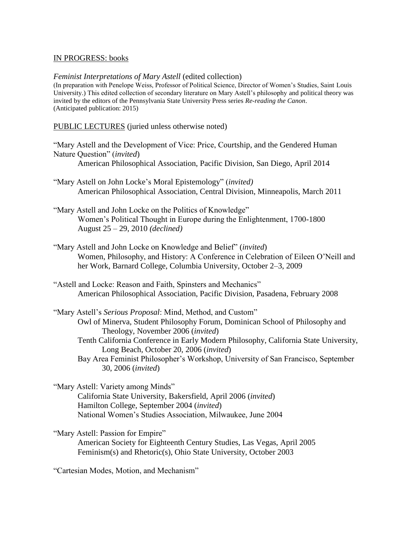#### IN PROGRESS: books

#### *Feminist Interpretations of Mary Astell* (edited collection)

(In preparation with Penelope Weiss, Professor of Political Science, Director of Women's Studies, Saint Louis University.) This edited collection of secondary literature on Mary Astell's philosophy and political theory was invited by the editors of the Pennsylvania State University Press series *Re-reading the Canon*. (Anticipated publication: 2015)

PUBLIC LECTURES (juried unless otherwise noted)

- "Mary Astell and the Development of Vice: Price, Courtship, and the Gendered Human Nature Question" (*invited*) American Philosophical Association, Pacific Division, San Diego, April 2014
- "Mary Astell on John Locke's Moral Epistemology" (*invited)* American Philosophical Association, Central Division, Minneapolis, March 2011
- "Mary Astell and John Locke on the Politics of Knowledge" Women's Political Thought in Europe during the Enlightenment, 1700-1800 August 25 – 29, 2010 *(declined)*
- "Mary Astell and John Locke on Knowledge and Belief" (*invited*) Women, Philosophy, and History: A Conference in Celebration of Eileen O'Neill and her Work, Barnard College, Columbia University, October 2–3, 2009
- "Astell and Locke: Reason and Faith, Spinsters and Mechanics" American Philosophical Association, Pacific Division, Pasadena, February 2008
- "Mary Astell's *Serious Proposal*: Mind, Method, and Custom" Owl of Minerva, Student Philosophy Forum, Dominican School of Philosophy and Theology, November 2006 (*invited*) Tenth California Conference in Early Modern Philosophy, California State University, Long Beach, October 20, 2006 (*invited*) Bay Area Feminist Philosopher's Workshop, University of San Francisco, September 30, 2006 (*invited*)

"Mary Astell: Variety among Minds" California State University, Bakersfield, April 2006 (*invited*) Hamilton College, September 2004 (*invited*) National Women's Studies Association, Milwaukee, June 2004

"Mary Astell: Passion for Empire" American Society for Eighteenth Century Studies, Las Vegas, April 2005 Feminism(s) and Rhetoric(s), Ohio State University, October 2003

"Cartesian Modes, Motion, and Mechanism"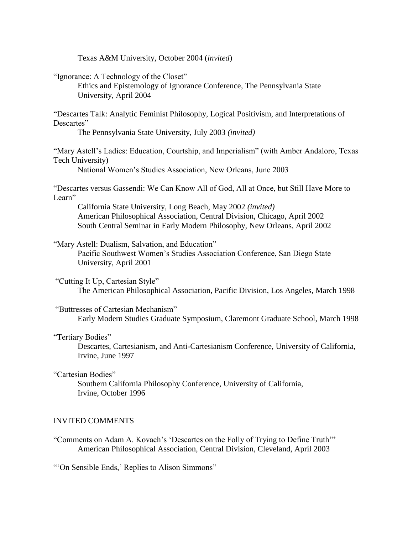Texas A&M University, October 2004 (*invited*)

"Ignorance: A Technology of the Closet"

Ethics and Epistemology of Ignorance Conference, The Pennsylvania State University, April 2004

"Descartes Talk: Analytic Feminist Philosophy, Logical Positivism, and Interpretations of Descartes"

The Pennsylvania State University, July 2003 *(invited)*

"Mary Astell's Ladies: Education, Courtship, and Imperialism" (with Amber Andaloro, Texas Tech University)

National Women's Studies Association, New Orleans, June 2003

"Descartes versus Gassendi: We Can Know All of God, All at Once, but Still Have More to Learn"

California State University, Long Beach, May 2002 *(invited)* American Philosophical Association, Central Division, Chicago, April 2002 South Central Seminar in Early Modern Philosophy, New Orleans, April 2002

"Mary Astell: Dualism, Salvation, and Education"

Pacific Southwest Women's Studies Association Conference, San Diego State University, April 2001

"Cutting It Up, Cartesian Style"

The American Philosophical Association, Pacific Division, Los Angeles, March 1998

"Buttresses of Cartesian Mechanism"

Early Modern Studies Graduate Symposium, Claremont Graduate School, March 1998

#### "Tertiary Bodies"

Descartes, Cartesianism, and Anti-Cartesianism Conference, University of California, Irvine, June 1997

"Cartesian Bodies"

Southern California Philosophy Conference, University of California, Irvine, October 1996

#### INVITED COMMENTS

"Comments on Adam A. Kovach's 'Descartes on the Folly of Trying to Define Truth'" American Philosophical Association, Central Division, Cleveland, April 2003

"'On Sensible Ends,' Replies to Alison Simmons"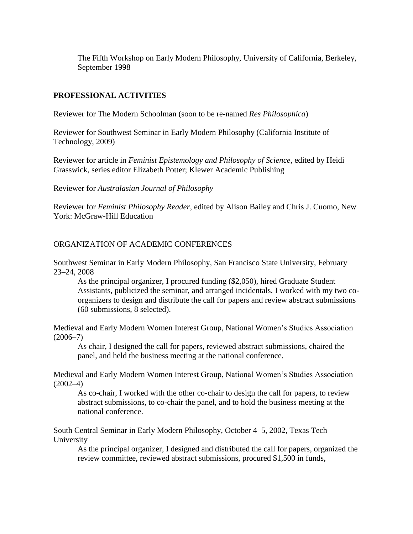The Fifth Workshop on Early Modern Philosophy, University of California, Berkeley, September 1998

## **PROFESSIONAL ACTIVITIES**

Reviewer for The Modern Schoolman (soon to be re-named *Res Philosophica*)

Reviewer for Southwest Seminar in Early Modern Philosophy (California Institute of Technology, 2009)

Reviewer for article in *Feminist Epistemology and Philosophy of Science*, edited by Heidi Grasswick, series editor Elizabeth Potter; Klewer Academic Publishing

Reviewer for *Australasian Journal of Philosophy*

Reviewer for *Feminist Philosophy Reader*, edited by Alison Bailey and Chris J. Cuomo, New York: McGraw-Hill Education

## ORGANIZATION OF ACADEMIC CONFERENCES

Southwest Seminar in Early Modern Philosophy, San Francisco State University, February 23–24, 2008

As the principal organizer, I procured funding (\$2,050), hired Graduate Student Assistants, publicized the seminar, and arranged incidentals. I worked with my two coorganizers to design and distribute the call for papers and review abstract submissions (60 submissions, 8 selected).

Medieval and Early Modern Women Interest Group, National Women's Studies Association  $(2006 - 7)$ 

As chair, I designed the call for papers, reviewed abstract submissions, chaired the panel, and held the business meeting at the national conference.

Medieval and Early Modern Women Interest Group, National Women's Studies Association  $(2002-4)$ 

As co-chair, I worked with the other co-chair to design the call for papers, to review abstract submissions, to co-chair the panel, and to hold the business meeting at the national conference.

South Central Seminar in Early Modern Philosophy, October 4–5, 2002, Texas Tech University

As the principal organizer, I designed and distributed the call for papers, organized the review committee, reviewed abstract submissions, procured \$1,500 in funds,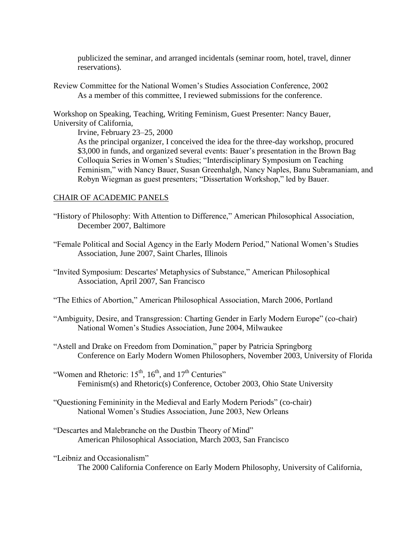publicized the seminar, and arranged incidentals (seminar room, hotel, travel, dinner reservations).

Review Committee for the National Women's Studies Association Conference, 2002 As a member of this committee, I reviewed submissions for the conference.

Workshop on Speaking, Teaching, Writing Feminism, Guest Presenter: Nancy Bauer, University of California,

Irvine, February 23–25, 2000

As the principal organizer, I conceived the idea for the three-day workshop, procured \$3,000 in funds, and organized several events: Bauer's presentation in the Brown Bag Colloquia Series in Women's Studies; "Interdisciplinary Symposium on Teaching Feminism," with Nancy Bauer, Susan Greenhalgh, Nancy Naples, Banu Subramaniam, and Robyn Wiegman as guest presenters; "Dissertation Workshop," led by Bauer.

## CHAIR OF ACADEMIC PANELS

- "History of Philosophy: With Attention to Difference," American Philosophical Association, December 2007, Baltimore
- "Female Political and Social Agency in the Early Modern Period," National Women's Studies Association, June 2007, Saint Charles, Illinois

"Invited Symposium: Descartes' Metaphysics of Substance," American Philosophical Association, April 2007, San Francisco

- "The Ethics of Abortion," American Philosophical Association, March 2006, Portland
- "Ambiguity, Desire, and Transgression: Charting Gender in Early Modern Europe" (co-chair) National Women's Studies Association, June 2004, Milwaukee
- "Astell and Drake on Freedom from Domination," paper by Patricia Springborg Conference on Early Modern Women Philosophers, November 2003, University of Florida
- "Women and Rhetoric:  $15<sup>th</sup>$ ,  $16<sup>th</sup>$ , and  $17<sup>th</sup>$  Centuries" Feminism(s) and Rhetoric(s) Conference, October 2003, Ohio State University
- "Questioning Femininity in the Medieval and Early Modern Periods" (co-chair) National Women's Studies Association, June 2003, New Orleans
- "Descartes and Malebranche on the Dustbin Theory of Mind" American Philosophical Association, March 2003, San Francisco

"Leibniz and Occasionalism"

The 2000 California Conference on Early Modern Philosophy, University of California,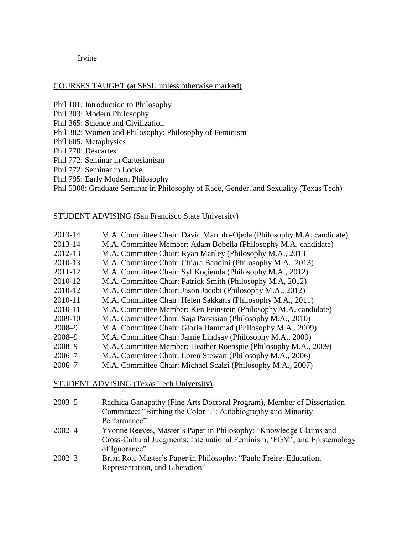Irvine

## COURSES TAUGHT (at SFSU unless otherwise marked)

- Phil 101: Introduction to Philosophy
- Phil 303: Modern Philosophy
- Phil 365: Science and Civilization
- Phil 382: Women and Philosophy: Philosophy of Feminism
- Phil 605: Metaphysics
- Phil 770: Descartes
- Phil 772: Seminar in Cartesianism
- Phil 772: Seminar in Locke
- Phil 795: Early Modern Philosophy
- Phil 5308: Graduate Seminar in Philosophy of Race, Gender, and Sexuality (Texas Tech)

## STUDENT ADVISING (San Francisco State University)

| 2013-14    | M.A. Committee Chair: David Marrufo-Ojeda (Philosophy M.A. candidate) |
|------------|-----------------------------------------------------------------------|
| 2013-14    | M.A. Committee Member: Adam Bobella (Philosophy M.A. candidate)       |
| 2012-13    | M.A. Committee Chair: Ryan Manley (Philosophy M.A., 2013)             |
| 2010-13    | M.A. Committee Chair: Chiara Bandini (Philosophy M.A., 2013)          |
| 2011-12    | M.A. Committee Chair: Syl Koçienda (Philosophy M.A., 2012)            |
| 2010-12    | M.A. Committee Chair: Patrick Smith (Philosophy M.A, 2012)            |
| 2010-12    | M.A. Committee Chair: Jason Jacobi (Philosophy M.A., 2012)            |
| 2010-11    | M.A. Committee Chair: Helen Sakkaris (Philosophy M.A., 2011)          |
| 2010-11    | M.A. Committee Member: Ken Feinstein (Philosophy M.A. candidate)      |
| 2009-10    | M.A. Committee Chair: Saja Parvisian (Philosophy M.A., 2010)          |
| $2008 - 9$ | M.A. Committee Chair: Gloria Hammad (Philosophy M.A., 2009)           |
| $2008 - 9$ | M.A. Committee Chair: Jamie Lindsay (Philosophy M.A., 2009)           |
| $2008 - 9$ | M.A. Committee Member: Heather Roenspie (Philosophy M.A., 2009)       |
| $2006 - 7$ | M.A. Committee Chair: Loren Stewart (Philosophy M.A., 2006)           |
| $2006 - 7$ | M.A. Committee Chair: Michael Scalzi (Philosophy M.A., 2007)          |

## STUDENT ADVISING (Texas Tech University)

| $2003 - 5$ | Radhica Ganapathy (Fine Arts Doctoral Program), Member of Dissertation<br>Committee: "Birthing the Color 'I': Autobiography and Minority |
|------------|------------------------------------------------------------------------------------------------------------------------------------------|
|            | Performance"                                                                                                                             |
| $2002 - 4$ | Yvonne Reeves, Master's Paper in Philosophy: "Knowledge Claims and                                                                       |
|            | Cross-Cultural Judgments: International Feminism, 'FGM', and Epistemology<br>of Ignorance"                                               |
| $2002 - 3$ | Brian Roa, Master's Paper in Philosophy: "Paulo Freire: Education,<br>Representation, and Liberation"                                    |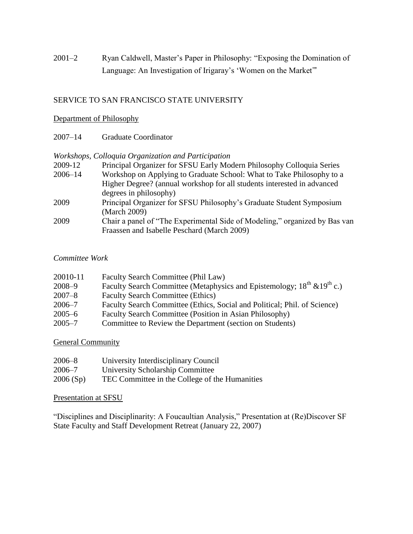2001–2 Ryan Caldwell, Master's Paper in Philosophy: "Exposing the Domination of Language: An Investigation of Irigaray's 'Women on the Market'"

# SERVICE TO SAN FRANCISCO STATE UNIVERSITY

## Department of Philosophy

2007–14 Graduate Coordinator

## *Workshops, Colloquia Organization and Participation*

| 2009-12     | Principal Organizer for SFSU Early Modern Philosophy Colloquia Series      |
|-------------|----------------------------------------------------------------------------|
| $2006 - 14$ | Workshop on Applying to Graduate School: What to Take Philosophy to a      |
|             | Higher Degree? (annual workshop for all students interested in advanced    |
|             | degrees in philosophy)                                                     |
| 2009        | Principal Organizer for SFSU Philosophy's Graduate Student Symposium       |
|             | (March 2009)                                                               |
| 2009        | Chair a panel of "The Experimental Side of Modeling," organized by Bas van |
|             | Fraassen and Isabelle Peschard (March 2009)                                |

## *Committee Work*

| 20010-11   | Faculty Search Committee (Phil Law)                                              |
|------------|----------------------------------------------------------------------------------|
| $2008 - 9$ | Faculty Search Committee (Metaphysics and Epistemology; $18^{th} \& 19^{th}$ c.) |
| $2007 - 8$ | <b>Faculty Search Committee (Ethics)</b>                                         |
| $2006 - 7$ | Faculty Search Committee (Ethics, Social and Political; Phil. of Science)        |
| $2005 - 6$ | Faculty Search Committee (Position in Asian Philosophy)                          |
| $2005 - 7$ | Committee to Review the Department (section on Students)                         |

## **General Community**

| $2006 - 8$ | University Interdisciplinary Council           |
|------------|------------------------------------------------|
| $2006 - 7$ | University Scholarship Committee               |
| 2006(Sp)   | TEC Committee in the College of the Humanities |

## Presentation at SFSU

"Disciplines and Disciplinarity: A Foucaultian Analysis," Presentation at (Re)Discover SF State Faculty and Staff Development Retreat (January 22, 2007)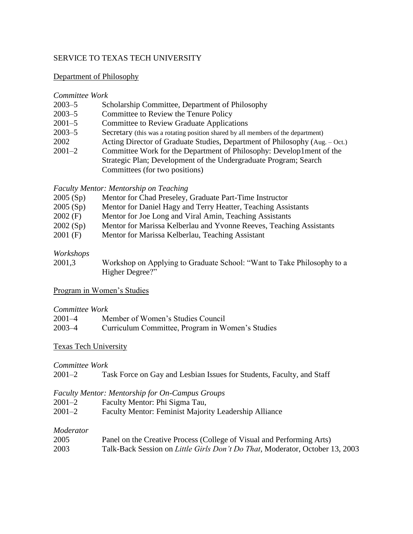## SERVICE TO TEXAS TECH UNIVERSITY

## Department of Philosophy

#### *Committee Work*

| $2003 - 5$ | Scholarship Committee, Department of Philosophy                                  |
|------------|----------------------------------------------------------------------------------|
| $2003 - 5$ | Committee to Review the Tenure Policy                                            |
| $2001 - 5$ | <b>Committee to Review Graduate Applications</b>                                 |
| $2003 - 5$ | Secretary (this was a rotating position shared by all members of the department) |
| 2002       | Acting Director of Graduate Studies, Department of Philosophy (Aug. – Oct.)      |
| $2001 - 2$ | Committee Work for the Department of Philosophy: Develop1ment of the             |
|            | Strategic Plan; Development of the Undergraduate Program; Search                 |
|            | Committees (for two positions)                                                   |

#### *Faculty Mentor: Mentorship on Teaching*

| 2005(Sp)   | Mentor for Chad Preseley, Graduate Part-Time Instructor             |
|------------|---------------------------------------------------------------------|
| 2005(Sp)   | Mentor for Daniel Hagy and Terry Heatter, Teaching Assistants       |
| $2002$ (F) | Mentor for Joe Long and Viral Amin, Teaching Assistants             |
| 2002(Sp)   | Mentor for Marissa Kelberlau and Yvonne Reeves, Teaching Assistants |
| $2001$ (F) | Mentor for Marissa Kelberlau, Teaching Assistant                    |

## *Workshops*

2001,3 Workshop on Applying to Graduate School: "Want to Take Philosophy to a Higher Degree?"

## Program in Women's Studies

## *Committee Work*

| $2001 - 4$ | Member of Women's Studies Council                |
|------------|--------------------------------------------------|
| $2003 - 4$ | Curriculum Committee, Program in Women's Studies |

## Texas Tech University

## *Committee Work*

## *Faculty Mentor: Mentorship for On-Campus Groups*

- 2001–2 Faculty Mentor: Phi Sigma Tau,
- 2001–2 Faculty Mentor: Feminist Majority Leadership Alliance

## *Moderator*

| 2005 | Panel on the Creative Process (College of Visual and Performing Arts)                |
|------|--------------------------------------------------------------------------------------|
| 2003 | Talk-Back Session on <i>Little Girls Don't Do That</i> , Moderator, October 13, 2003 |